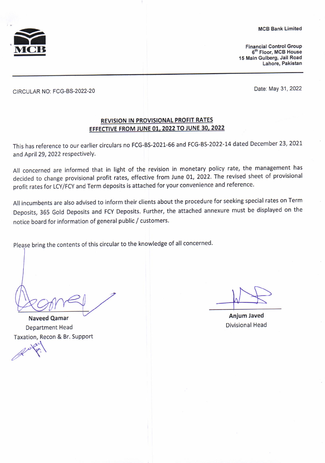MCB Bank Limited



**Financial Control Group** 6<sup>th</sup> Floor, MCB House 15 Main Gulberg, Jail Road Lahore, Pakistan

CIRCULAR NO: FCG-BS-2022-20 Date: May 31, <sup>2022</sup>

## REVISION IN PROVISIONAL PROFIT RATES EFFECTIVE FROM JUNE 01, 2022 TO JUNE 30, 2022

This has reference to our earlier circulars no FCG-BS-2021-66 and FCG-BS-2022-14 dated December 23,2021 and April 29, 2022 respectively.

All concerned are informed that in light of the revision in monetary policy rate, the management has decided to change provisional profit rates, effective from June 01, 2022. The revised sheet of provisional profit rates for LCY/FCY and Term deposits is attached for your convenience and reference.

All incumbents are also advised to inform their clients about the procedure for seeking special rates on Term Deposits, 365 Gold Deposits and FCY Deposits. Further, the attached annexure must be displayed on the notice board for information of general public / customers.

Please bring the contents of this circular to the knowledge of all concerned.

**Naveed Qamar** 

**Department Head** Taxation, Recon & Br. Support

Anjum Javed Divisional Head